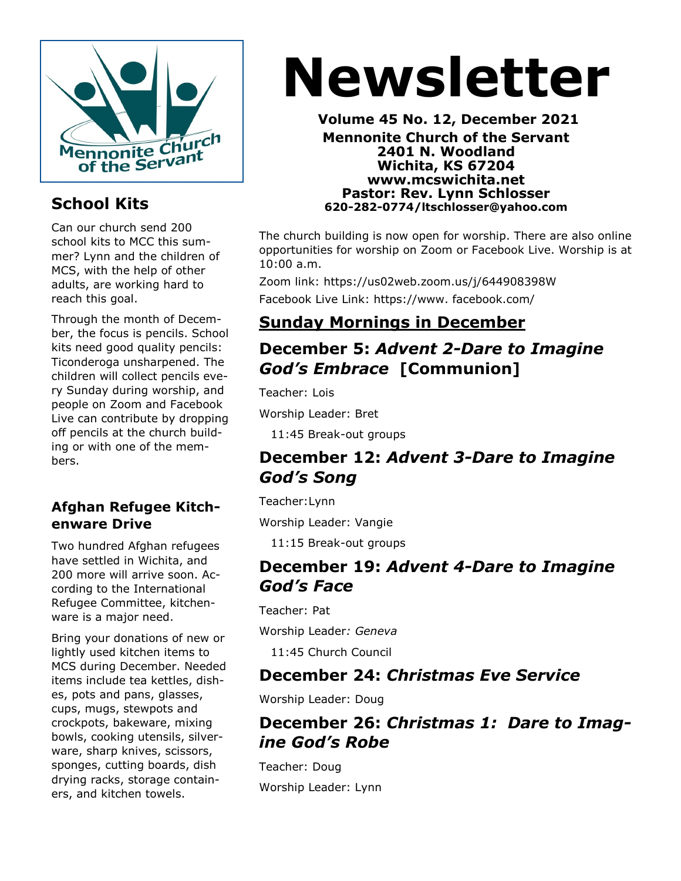

# **School Kits**

Can our church send 200 school kits to MCC this summer? Lynn and the children of MCS, with the help of other adults, are working hard to reach this goal.

Through the month of December, the focus is pencils. School kits need good quality pencils: Ticonderoga unsharpened. The children will collect pencils every Sunday during worship, and people on Zoom and Facebook Live can contribute by dropping off pencils at the church building or with one of the members.

#### **Afghan Refugee Kitchenware Drive**

Two hundred Afghan refugees have settled in Wichita, and 200 more will arrive soon. According to the International Refugee Committee, kitchenware is a major need.

Bring your donations of new or lightly used kitchen items to MCS during December. Needed items include tea kettles, dishes, pots and pans, glasses, cups, mugs, stewpots and crockpots, bakeware, mixing bowls, cooking utensils, silverware, sharp knives, scissors, sponges, cutting boards, dish drying racks, storage containers, and kitchen towels.

# **Newsletter**

**Volume 45 No. 12, December 2021 Mennonite Church of the Servant 2401 N. Woodland Wichita, KS 67204 www.mcswichita.net Pastor: Rev. Lynn Schlosser 620-282-0774/ltschlosser@yahoo.com**

The church building is now open for worship. There are also online opportunities for worship on Zoom or Facebook Live. Worship is at 10:00 a.m.

Zoom link: https://us02web.zoom.us/j/644908398W Facebook Live Link: https://www. facebook.com/

# **Sunday Mornings in December**

# **December 5:** *Advent 2-Dare to Imagine God's Embrace* **[Communion]**

Teacher: Lois

Worship Leader: Bret

11:45 Break-out groups

### **December 12:** *Advent 3-Dare to Imagine God's Song*

Teacher:Lynn

Worship Leader: Vangie

11:15 Break-out groups

#### **December 19:** *Advent 4-Dare to Imagine God's Face*

Teacher: Pat

Worship Leader*: Geneva*

11:45 Church Council

### **December 24:** *Christmas Eve Service*

Worship Leader: Doug

### **December 26:** *Christmas 1: Dare to Imagine God's Robe*

Teacher: Doug Worship Leader: Lynn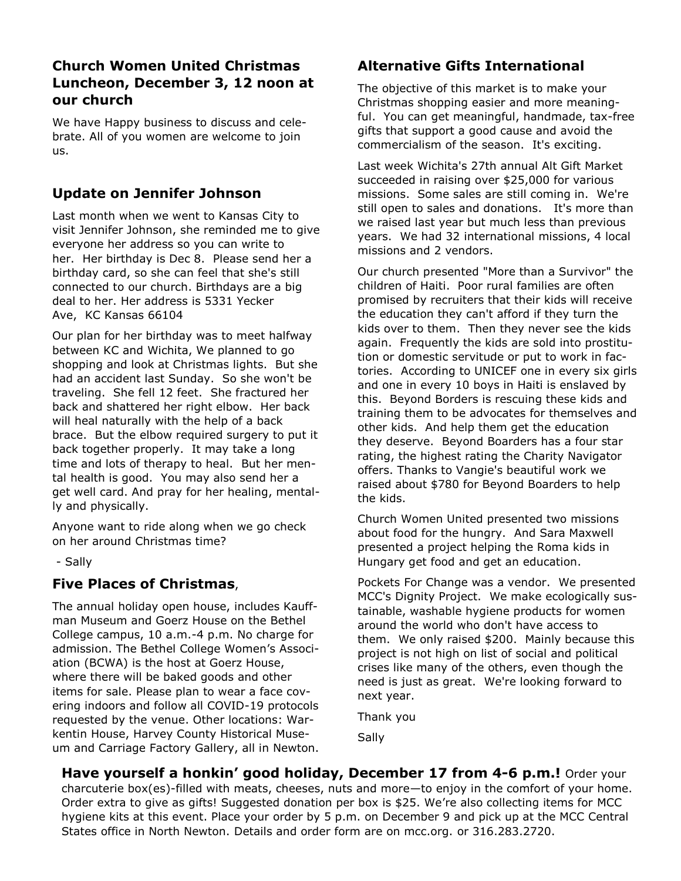#### **Church Women United Christmas Luncheon, December 3, 12 noon at our church**

We have Happy business to discuss and celebrate. All of you women are welcome to join us.

#### **Update on Jennifer Johnson**

Last month when we went to Kansas City to visit Jennifer Johnson, she reminded me to give everyone her address so you can write to her. Her birthday is Dec 8. Please send her a birthday card, so she can feel that she's still connected to our church. Birthdays are a big deal to her. Her address is 5331 Yecker Ave, KC Kansas 66104

Our plan for her birthday was to meet halfway between KC and Wichita, We planned to go shopping and look at Christmas lights. But she had an accident last Sunday. So she won't be traveling. She fell 12 feet. She fractured her back and shattered her right elbow. Her back will heal naturally with the help of a back brace. But the elbow required surgery to put it back together properly. It may take a long time and lots of therapy to heal. But her mental health is good. You may also send her a get well card. And pray for her healing, mentally and physically.

Anyone want to ride along when we go check on her around Christmas time?

- Sally

#### **Five Places of Christmas**,

The annual holiday open house, includes Kauffman Museum and Goerz House on the Bethel College campus, 10 a.m.-4 p.m. No charge for admission. The Bethel College Women's Association (BCWA) is the host at Goerz House, where there will be baked goods and other items for sale. Please plan to wear a face covering indoors and follow all COVID-19 protocols requested by the venue. Other locations: Warkentin House, Harvey County Historical Museum and Carriage Factory Gallery, all in Newton.

#### **Alternative Gifts International**

The objective of this market is to make your Christmas shopping easier and more meaningful. You can get meaningful, handmade, tax-free gifts that support a good cause and avoid the commercialism of the season. It's exciting.

Last week Wichita's 27th annual Alt Gift Market succeeded in raising over \$25,000 for various missions. Some sales are still coming in. We're still open to sales and donations. It's more than we raised last year but much less than previous years. We had 32 international missions, 4 local missions and 2 vendors.

Our church presented "More than a Survivor" the children of Haiti. Poor rural families are often promised by recruiters that their kids will receive the education they can't afford if they turn the kids over to them. Then they never see the kids again. Frequently the kids are sold into prostitution or domestic servitude or put to work in factories. According to UNICEF one in every six girls and one in every 10 boys in Haiti is enslaved by this. Beyond Borders is rescuing these kids and training them to be advocates for themselves and other kids. And help them get the education they deserve. Beyond Boarders has a four star rating, the highest rating the Charity Navigator offers. Thanks to Vangie's beautiful work we raised about \$780 for Beyond Boarders to help the kids.

Church Women United presented two missions about food for the hungry. And Sara Maxwell presented a project helping the Roma kids in Hungary get food and get an education.

Pockets For Change was a vendor. We presented MCC's Dignity Project. We make ecologically sustainable, washable hygiene products for women around the world who don't have access to them. We only raised \$200. Mainly because this project is not high on list of social and political crises like many of the others, even though the need is just as great. We're looking forward to next year.

Thank you

Sally

**Have yourself a honkin' good holiday, December 17 from 4-6 p.m.!** Order your charcuterie box(es)-filled with meats, cheeses, nuts and more—to enjoy in the comfort of your home. Order extra to give as gifts! Suggested donation per box is \$25. We're also collecting items for MCC hygiene kits at this event. Place your order by 5 p.m. on December 9 and pick up at the MCC Central States office in North Newton. Details and order form are on mcc.org. or 316.283.2720.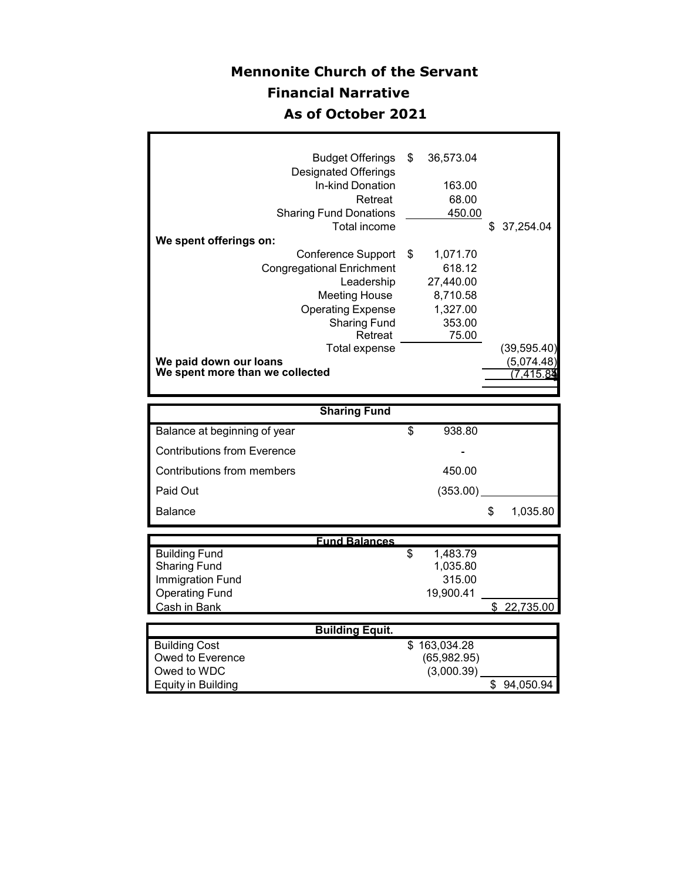# **Mennonite Church of the Servant Financial Narrative As of October 2021**

Г

| 36,573.04      |
|----------------|
|                |
| 163.00         |
| 68.00          |
| 450.00         |
| 37,254.04<br>S |
|                |
| 1,071.70       |
| 618.12         |
| 27,440.00      |
| 8,710.58       |
| 1,327.00       |
| 353.00         |
| 75.00          |
| (39,595.40)    |
| (5,074.48)     |
| 7.415.84       |
|                |

|                                    | <b>Sharing Fund</b> |                |
|------------------------------------|---------------------|----------------|
| Balance at beginning of year       | 938.80<br>\$        |                |
| <b>Contributions from Everence</b> | -                   |                |
| Contributions from members         | 450.00              |                |
| Paid Out                           | (353.00)            |                |
| <b>Balance</b>                     |                     | \$<br>1,035.80 |

|                       | <b>Fund Balances</b>        |             |
|-----------------------|-----------------------------|-------------|
| <b>Building Fund</b>  | 1,483.79<br>\$              |             |
| <b>Sharing Fund</b>   | 1,035.80                    |             |
| Immigration Fund      | 315.00                      |             |
| <b>Operating Fund</b> | 19.900.41                   |             |
| Cash in Bank          |                             | \$22.735.00 |
|                       |                             |             |
|                       | <b>Destinitions</b> Provide |             |

|                      | <b>Building Equit.</b> |           |
|----------------------|------------------------|-----------|
| <b>Building Cost</b> | \$163,034.28           |           |
| Owed to Everence     | (65,982.95)            |           |
| Owed to WDC          | (3,000.39)             |           |
| Equity in Building   |                        | 94.050.94 |